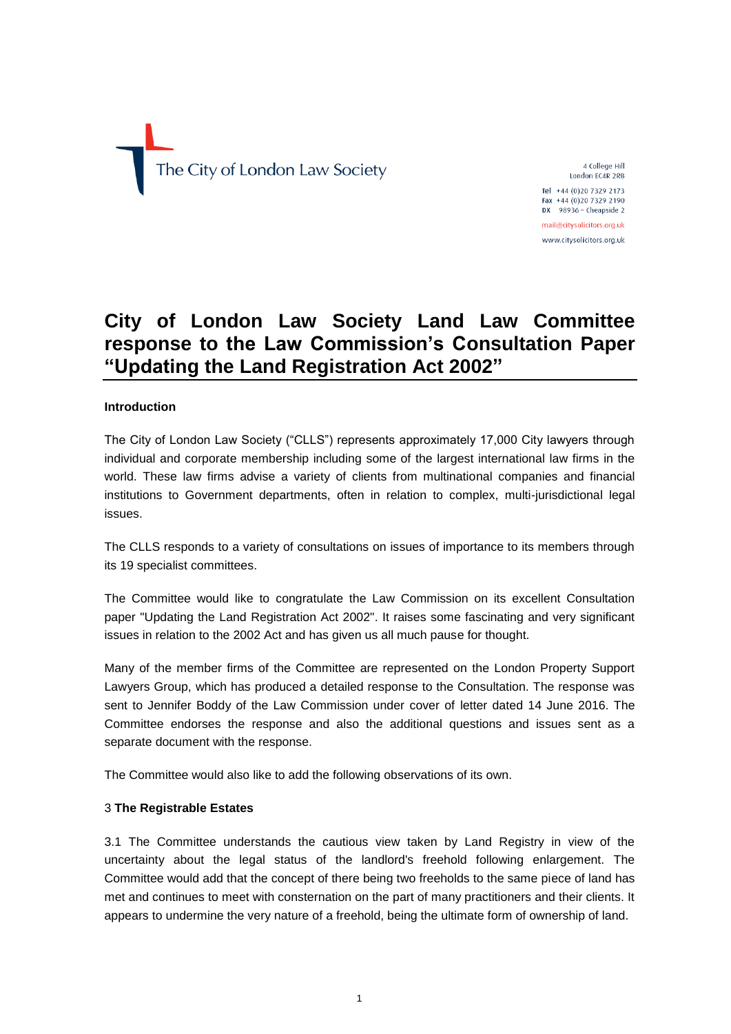The City of London Law Society

4 College Hill London EC4R 2RB

Tel +44 (0)20 7329 2173 Fax +44 (0)20 7329 2190 DX  $98936 -$  Cheapside 2 mail@citysolicitors.org.uk

www.citysolicitors.org.uk

# **City of London Law Society Land Law Committee response to the Law Commission's Consultation Paper "Updating the Land Registration Act 2002"**

## **Introduction**

The City of London Law Society ("CLLS") represents approximately 17,000 City lawyers through individual and corporate membership including some of the largest international law firms in the world. These law firms advise a variety of clients from multinational companies and financial institutions to Government departments, often in relation to complex, multi-jurisdictional legal issues.

The CLLS responds to a variety of consultations on issues of importance to its members through its 19 specialist committees.

The Committee would like to congratulate the Law Commission on its excellent Consultation paper "Updating the Land Registration Act 2002". It raises some fascinating and very significant issues in relation to the 2002 Act and has given us all much pause for thought.

Many of the member firms of the Committee are represented on the London Property Support Lawyers Group, which has produced a detailed response to the Consultation. The response was sent to Jennifer Boddy of the Law Commission under cover of letter dated 14 June 2016. The Committee endorses the response and also the additional questions and issues sent as a separate document with the response.

The Committee would also like to add the following observations of its own.

#### 3 **The Registrable Estates**

3.1 The Committee understands the cautious view taken by Land Registry in view of the uncertainty about the legal status of the landlord's freehold following enlargement. The Committee would add that the concept of there being two freeholds to the same piece of land has met and continues to meet with consternation on the part of many practitioners and their clients. It appears to undermine the very nature of a freehold, being the ultimate form of ownership of land.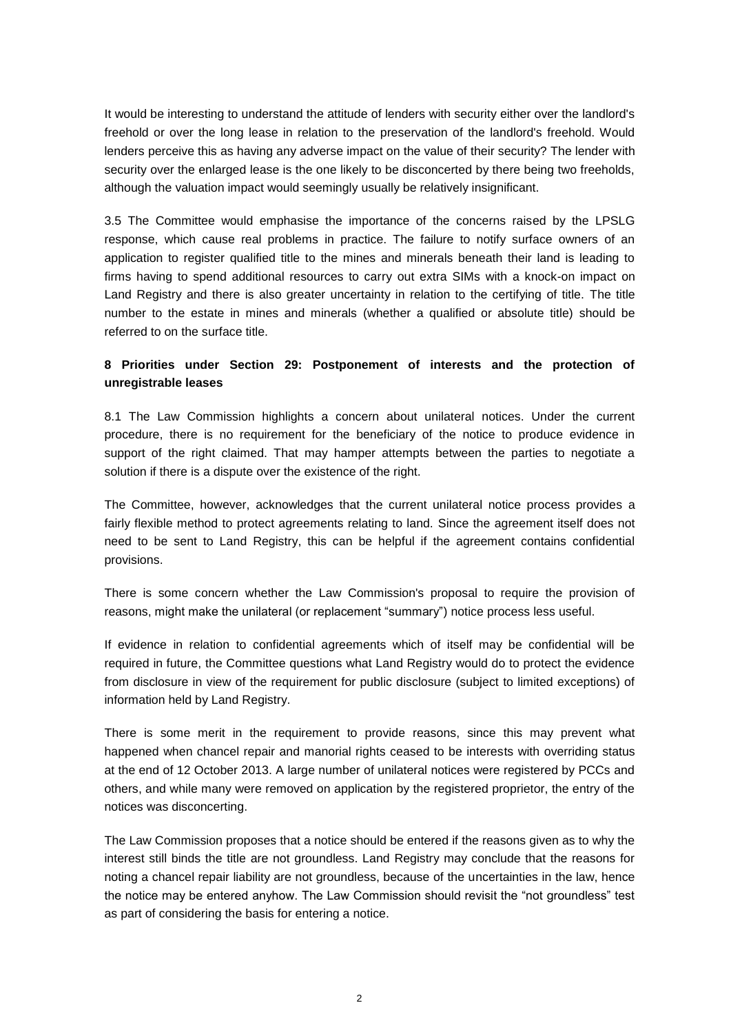It would be interesting to understand the attitude of lenders with security either over the landlord's freehold or over the long lease in relation to the preservation of the landlord's freehold. Would lenders perceive this as having any adverse impact on the value of their security? The lender with security over the enlarged lease is the one likely to be disconcerted by there being two freeholds, although the valuation impact would seemingly usually be relatively insignificant.

3.5 The Committee would emphasise the importance of the concerns raised by the LPSLG response, which cause real problems in practice. The failure to notify surface owners of an application to register qualified title to the mines and minerals beneath their land is leading to firms having to spend additional resources to carry out extra SIMs with a knock-on impact on Land Registry and there is also greater uncertainty in relation to the certifying of title. The title number to the estate in mines and minerals (whether a qualified or absolute title) should be referred to on the surface title.

## **8 Priorities under Section 29: Postponement of interests and the protection of unregistrable leases**

8.1 The Law Commission highlights a concern about unilateral notices. Under the current procedure, there is no requirement for the beneficiary of the notice to produce evidence in support of the right claimed. That may hamper attempts between the parties to negotiate a solution if there is a dispute over the existence of the right.

The Committee, however, acknowledges that the current unilateral notice process provides a fairly flexible method to protect agreements relating to land. Since the agreement itself does not need to be sent to Land Registry, this can be helpful if the agreement contains confidential provisions.

There is some concern whether the Law Commission's proposal to require the provision of reasons, might make the unilateral (or replacement "summary") notice process less useful.

If evidence in relation to confidential agreements which of itself may be confidential will be required in future, the Committee questions what Land Registry would do to protect the evidence from disclosure in view of the requirement for public disclosure (subject to limited exceptions) of information held by Land Registry.

There is some merit in the requirement to provide reasons, since this may prevent what happened when chancel repair and manorial rights ceased to be interests with overriding status at the end of 12 October 2013. A large number of unilateral notices were registered by PCCs and others, and while many were removed on application by the registered proprietor, the entry of the notices was disconcerting.

The Law Commission proposes that a notice should be entered if the reasons given as to why the interest still binds the title are not groundless. Land Registry may conclude that the reasons for noting a chancel repair liability are not groundless, because of the uncertainties in the law, hence the notice may be entered anyhow. The Law Commission should revisit the "not groundless" test as part of considering the basis for entering a notice.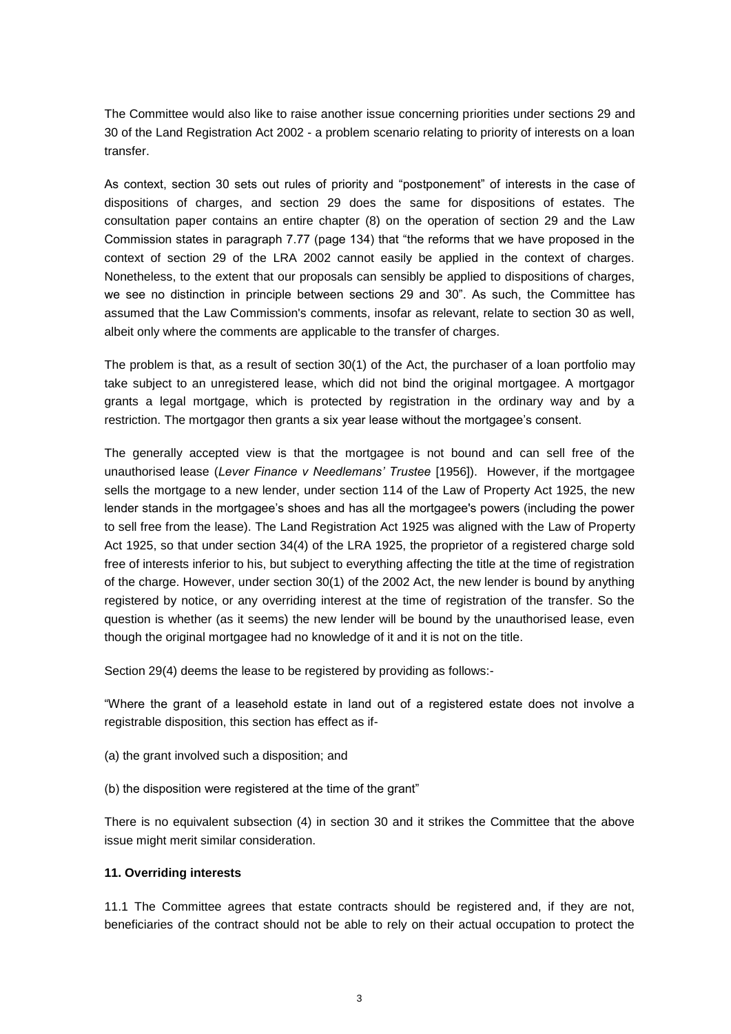The Committee would also like to raise another issue concerning priorities under sections 29 and 30 of the Land Registration Act 2002 - a problem scenario relating to priority of interests on a loan transfer.

As context, section 30 sets out rules of priority and "postponement" of interests in the case of dispositions of charges, and section 29 does the same for dispositions of estates. The consultation paper contains an entire chapter (8) on the operation of section 29 and the Law Commission states in paragraph 7.77 (page 134) that "the reforms that we have proposed in the context of section 29 of the LRA 2002 cannot easily be applied in the context of charges. Nonetheless, to the extent that our proposals can sensibly be applied to dispositions of charges, we see no distinction in principle between sections 29 and 30". As such, the Committee has assumed that the Law Commission's comments, insofar as relevant, relate to section 30 as well, albeit only where the comments are applicable to the transfer of charges.

The problem is that, as a result of section 30(1) of the Act, the purchaser of a loan portfolio may take subject to an unregistered lease, which did not bind the original mortgagee. A mortgagor grants a legal mortgage, which is protected by registration in the ordinary way and by a restriction. The mortgagor then grants a six year lease without the mortgagee's consent.

The generally accepted view is that the mortgagee is not bound and can sell free of the unauthorised lease (*Lever Finance v Needlemans' Trustee* [1956]). However, if the mortgagee sells the mortgage to a new lender, under section 114 of the Law of Property Act 1925, the new lender stands in the mortgagee's shoes and has all the mortgagee's powers (including the power to sell free from the lease). The Land Registration Act 1925 was aligned with the Law of Property Act 1925, so that under section 34(4) of the LRA 1925, the proprietor of a registered charge sold free of interests inferior to his, but subject to everything affecting the title at the time of registration of the charge. However, under section 30(1) of the 2002 Act, the new lender is bound by anything registered by notice, or any overriding interest at the time of registration of the transfer. So the question is whether (as it seems) the new lender will be bound by the unauthorised lease, even though the original mortgagee had no knowledge of it and it is not on the title.

Section 29(4) deems the lease to be registered by providing as follows:-

"Where the grant of a leasehold estate in land out of a registered estate does not involve a registrable disposition, this section has effect as if-

- (a) the grant involved such a disposition; and
- (b) the disposition were registered at the time of the grant"

There is no equivalent subsection (4) in section 30 and it strikes the Committee that the above issue might merit similar consideration.

## **11. Overriding interests**

11.1 The Committee agrees that estate contracts should be registered and, if they are not, beneficiaries of the contract should not be able to rely on their actual occupation to protect the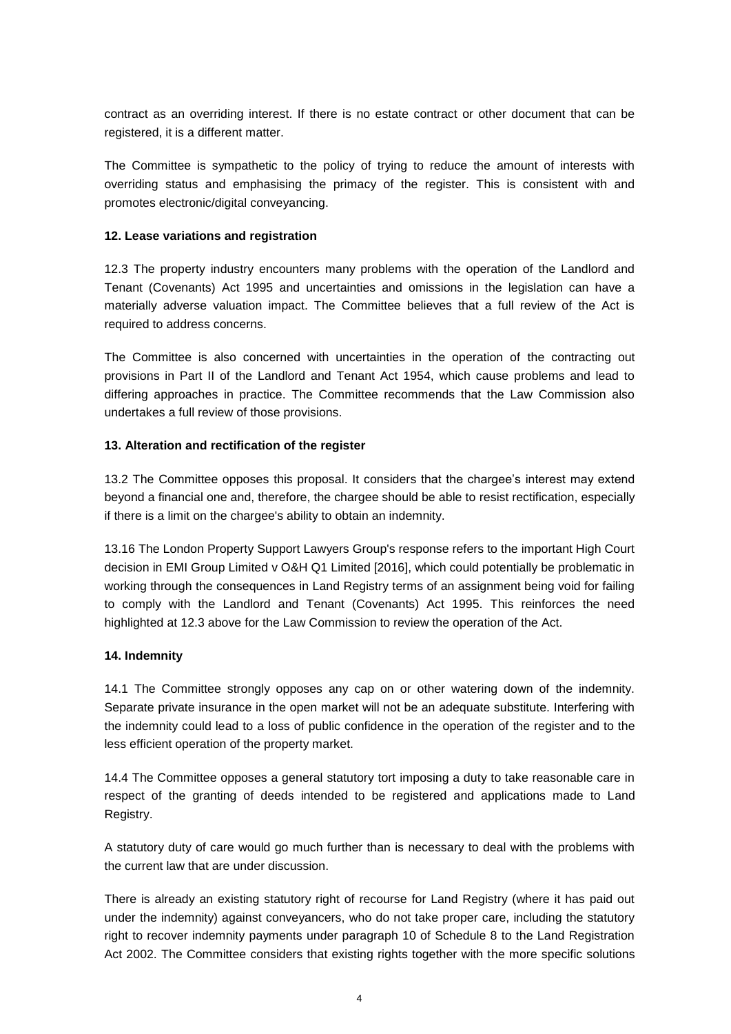contract as an overriding interest. If there is no estate contract or other document that can be registered, it is a different matter.

The Committee is sympathetic to the policy of trying to reduce the amount of interests with overriding status and emphasising the primacy of the register. This is consistent with and promotes electronic/digital conveyancing.

## **12. Lease variations and registration**

12.3 The property industry encounters many problems with the operation of the Landlord and Tenant (Covenants) Act 1995 and uncertainties and omissions in the legislation can have a materially adverse valuation impact. The Committee believes that a full review of the Act is required to address concerns.

The Committee is also concerned with uncertainties in the operation of the contracting out provisions in Part II of the Landlord and Tenant Act 1954, which cause problems and lead to differing approaches in practice. The Committee recommends that the Law Commission also undertakes a full review of those provisions.

## **13. Alteration and rectification of the register**

13.2 The Committee opposes this proposal. It considers that the chargee's interest may extend beyond a financial one and, therefore, the chargee should be able to resist rectification, especially if there is a limit on the chargee's ability to obtain an indemnity.

13.16 The London Property Support Lawyers Group's response refers to the important High Court decision in EMI Group Limited v O&H Q1 Limited [2016], which could potentially be problematic in working through the consequences in Land Registry terms of an assignment being void for failing to comply with the Landlord and Tenant (Covenants) Act 1995. This reinforces the need highlighted at 12.3 above for the Law Commission to review the operation of the Act.

#### **14. Indemnity**

14.1 The Committee strongly opposes any cap on or other watering down of the indemnity. Separate private insurance in the open market will not be an adequate substitute. Interfering with the indemnity could lead to a loss of public confidence in the operation of the register and to the less efficient operation of the property market.

14.4 The Committee opposes a general statutory tort imposing a duty to take reasonable care in respect of the granting of deeds intended to be registered and applications made to Land Registry.

A statutory duty of care would go much further than is necessary to deal with the problems with the current law that are under discussion.

There is already an existing statutory right of recourse for Land Registry (where it has paid out under the indemnity) against conveyancers, who do not take proper care, including the statutory right to recover indemnity payments under paragraph 10 of Schedule 8 to the Land Registration Act 2002. The Committee considers that existing rights together with the more specific solutions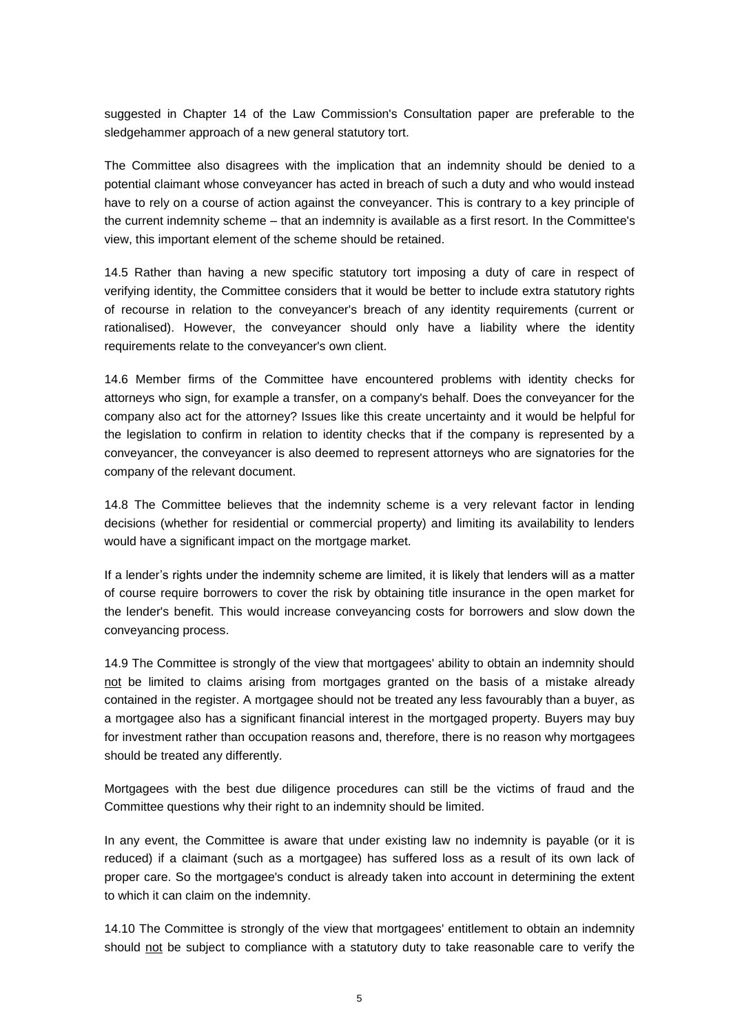suggested in Chapter 14 of the Law Commission's Consultation paper are preferable to the sledgehammer approach of a new general statutory tort.

The Committee also disagrees with the implication that an indemnity should be denied to a potential claimant whose conveyancer has acted in breach of such a duty and who would instead have to rely on a course of action against the conveyancer. This is contrary to a key principle of the current indemnity scheme – that an indemnity is available as a first resort. In the Committee's view, this important element of the scheme should be retained.

14.5 Rather than having a new specific statutory tort imposing a duty of care in respect of verifying identity, the Committee considers that it would be better to include extra statutory rights of recourse in relation to the conveyancer's breach of any identity requirements (current or rationalised). However, the conveyancer should only have a liability where the identity requirements relate to the conveyancer's own client.

14.6 Member firms of the Committee have encountered problems with identity checks for attorneys who sign, for example a transfer, on a company's behalf. Does the conveyancer for the company also act for the attorney? Issues like this create uncertainty and it would be helpful for the legislation to confirm in relation to identity checks that if the company is represented by a conveyancer, the conveyancer is also deemed to represent attorneys who are signatories for the company of the relevant document.

14.8 The Committee believes that the indemnity scheme is a very relevant factor in lending decisions (whether for residential or commercial property) and limiting its availability to lenders would have a significant impact on the mortgage market.

If a lender's rights under the indemnity scheme are limited, it is likely that lenders will as a matter of course require borrowers to cover the risk by obtaining title insurance in the open market for the lender's benefit. This would increase conveyancing costs for borrowers and slow down the conveyancing process.

14.9 The Committee is strongly of the view that mortgagees' ability to obtain an indemnity should not be limited to claims arising from mortgages granted on the basis of a mistake already contained in the register. A mortgagee should not be treated any less favourably than a buyer, as a mortgagee also has a significant financial interest in the mortgaged property. Buyers may buy for investment rather than occupation reasons and, therefore, there is no reason why mortgagees should be treated any differently.

Mortgagees with the best due diligence procedures can still be the victims of fraud and the Committee questions why their right to an indemnity should be limited.

In any event, the Committee is aware that under existing law no indemnity is payable (or it is reduced) if a claimant (such as a mortgagee) has suffered loss as a result of its own lack of proper care. So the mortgagee's conduct is already taken into account in determining the extent to which it can claim on the indemnity.

14.10 The Committee is strongly of the view that mortgagees' entitlement to obtain an indemnity should not be subject to compliance with a statutory duty to take reasonable care to verify the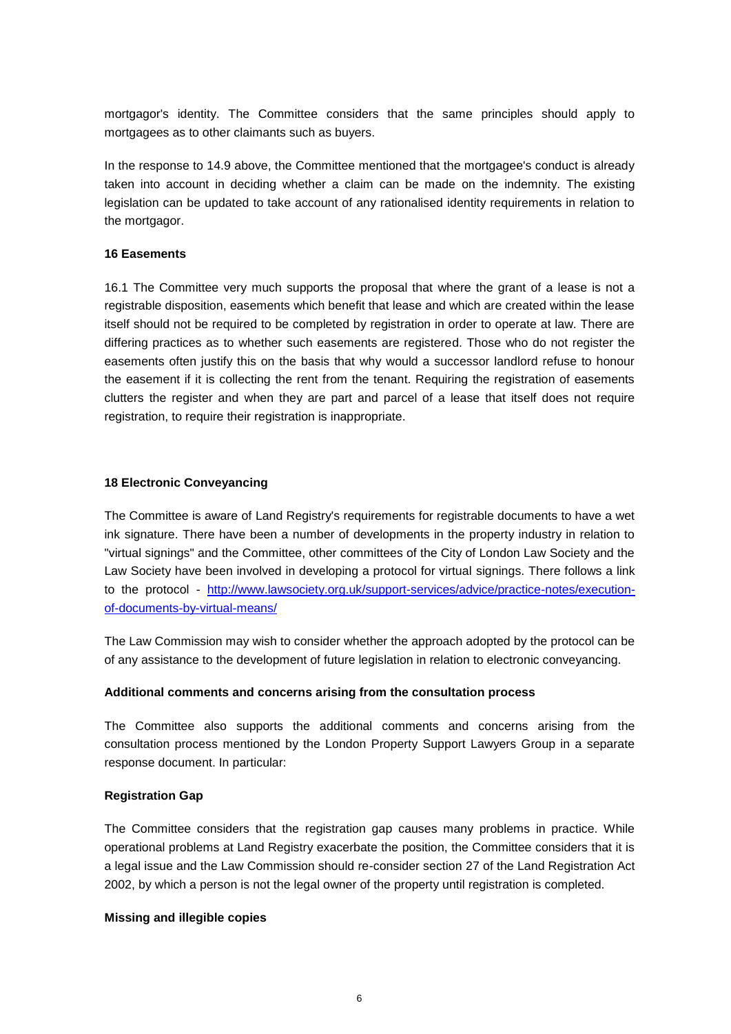mortgagor's identity. The Committee considers that the same principles should apply to mortgagees as to other claimants such as buyers.

In the response to 14.9 above, the Committee mentioned that the mortgagee's conduct is already taken into account in deciding whether a claim can be made on the indemnity. The existing legislation can be updated to take account of any rationalised identity requirements in relation to the mortgagor.

#### **16 Easements**

16.1 The Committee very much supports the proposal that where the grant of a lease is not a registrable disposition, easements which benefit that lease and which are created within the lease itself should not be required to be completed by registration in order to operate at law. There are differing practices as to whether such easements are registered. Those who do not register the easements often justify this on the basis that why would a successor landlord refuse to honour the easement if it is collecting the rent from the tenant. Requiring the registration of easements clutters the register and when they are part and parcel of a lease that itself does not require registration, to require their registration is inappropriate.

## **18 Electronic Conveyancing**

The Committee is aware of Land Registry's requirements for registrable documents to have a wet ink signature. There have been a number of developments in the property industry in relation to "virtual signings" and the Committee, other committees of the City of London Law Society and the Law Society have been involved in developing a protocol for virtual signings. There follows a link to the protocol - [http://www.lawsociety.org.uk/support-services/advice/practice-notes/execution](http://www.lawsociety.org.uk/support-services/advice/practice-notes/execution-of-documents-by-virtual-means/)[of-documents-by-virtual-means/](http://www.lawsociety.org.uk/support-services/advice/practice-notes/execution-of-documents-by-virtual-means/) 

The Law Commission may wish to consider whether the approach adopted by the protocol can be of any assistance to the development of future legislation in relation to electronic conveyancing.

#### **Additional comments and concerns arising from the consultation process**

The Committee also supports the additional comments and concerns arising from the consultation process mentioned by the London Property Support Lawyers Group in a separate response document. In particular:

## **Registration Gap**

The Committee considers that the registration gap causes many problems in practice. While operational problems at Land Registry exacerbate the position, the Committee considers that it is a legal issue and the Law Commission should re-consider section 27 of the Land Registration Act 2002, by which a person is not the legal owner of the property until registration is completed.

#### **Missing and illegible copies**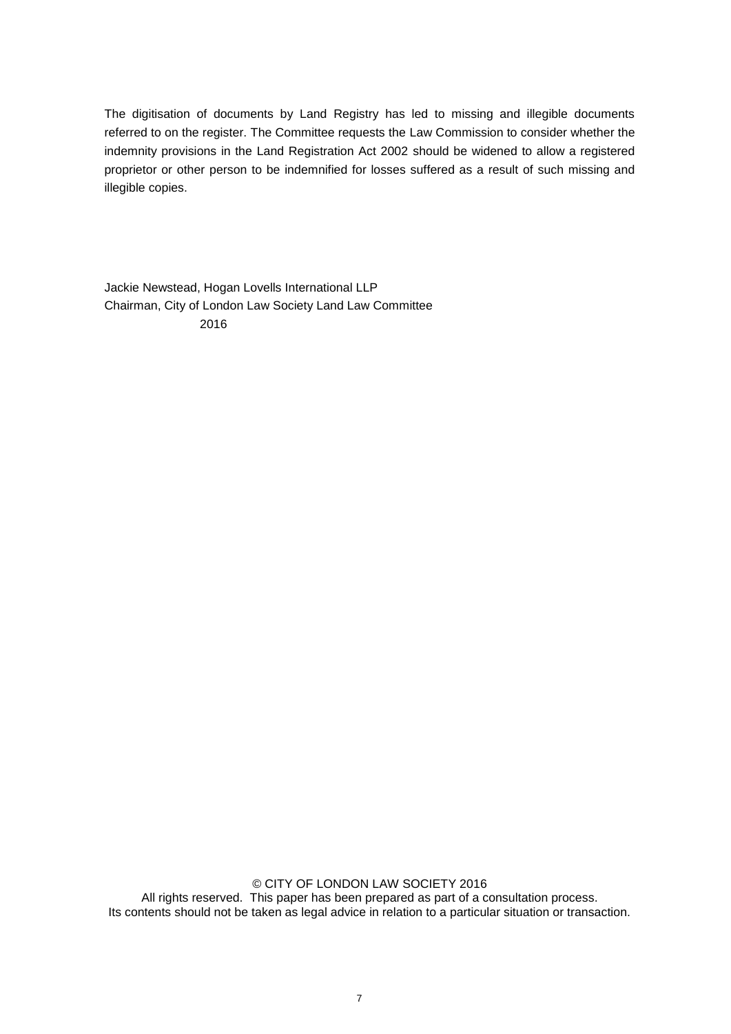The digitisation of documents by Land Registry has led to missing and illegible documents referred to on the register. The Committee requests the Law Commission to consider whether the indemnity provisions in the Land Registration Act 2002 should be widened to allow a registered proprietor or other person to be indemnified for losses suffered as a result of such missing and illegible copies.

Jackie Newstead, Hogan Lovells International LLP Chairman, City of London Law Society Land Law Committee 2016

© CITY OF LONDON LAW SOCIETY 2016 All rights reserved. This paper has been prepared as part of a consultation process. Its contents should not be taken as legal advice in relation to a particular situation or transaction.